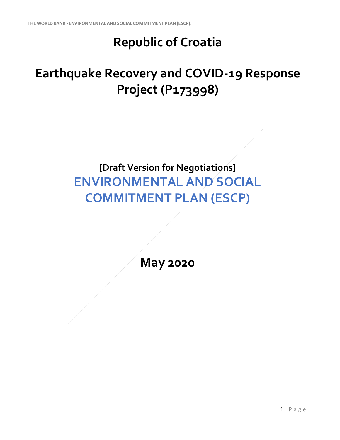## **Republic of Croatia**

## **Earthquake Recovery and COVID-19 Response Project (P173998)**

## **[Draft Version for Negotiations] ENVIRONMENTAL AND SOCIAL COMMITMENT PLAN (ESCP)**

**May 2020**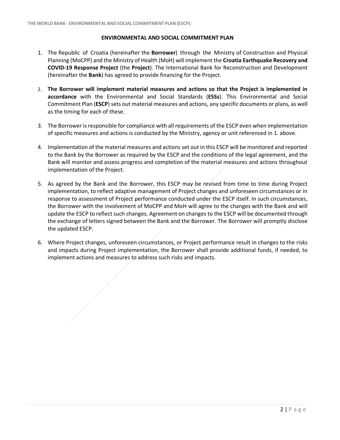## **ENVIRONMENTAL AND SOCIAL COMMITMENT PLAN**

- 1. The Republic of Croatia (hereinafter the **Borrower**) through the Ministry of Construction and Physical Planning (MoCPP) and the Ministry of Health (MoH) will implement the **Croatia Earthquake Recovery and COVID-19 Response Project** (the **Project**). The International Bank for Reconstruction and Development (hereinafter the **Bank**) has agreed to provide financing for the Project.
- 2. **The Borrower will implement material measures and actions so that the Project is implemented in accordance** with the Environmental and Social Standards (**ESSs**). This Environmental and Social Commitment Plan (**ESCP**) sets out material measures and actions, any specific documents or plans, as well as the timing for each of these.
- 3. The Borrower is responsible for compliance with all requirements of the ESCP even when implementation of specific measures and actions is conducted by the Ministry, agency or unit referenced in 1. above.
- 4. Implementation of the material measures and actions set out in this ESCP will be monitored and reported to the Bank by the Borrower as required by the ESCP and the conditions of the legal agreement, and the Bank will monitor and assess progress and completion of the material measures and actions throughout implementation of the Project.
- 5. As agreed by the Bank and the Borrower, this ESCP may be revised from time to time during Project implementation, to reflect adaptive management of Project changes and unforeseen circumstances or in response to assessment of Project performance conducted under the ESCP itself. In such circumstances, the Borrower with the involvement of MoCPP and MoH will agree to the changes with the Bank and will update the ESCP to reflect such changes. Agreement on changes to the ESCP will be documented through the exchange of letters signed between the Bank and the Borrower. The Borrower will promptly disclose the updated ESCP.
- 6. Where Project changes, unforeseen circumstances, or Project performance result in changes to the risks and impacts during Project implementation, the Borrower shall provide additional funds, if needed, to implement actions and measures to address such risks and impacts.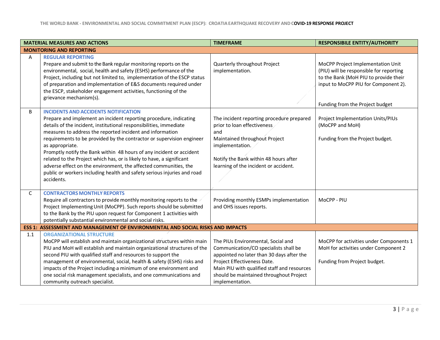|     | <b>MATERIAL MEASURES AND ACTIONS</b>                                                                                                                                                                                                                                                                                                                                                                                                                                                                                                                                                                                                                          | <b>TIMEFRAME</b>                                                                                                                                                                                                                                                     | <b>RESPONSIBILE ENTITY/AUTHORITY</b>                                                                                                                                                             |
|-----|---------------------------------------------------------------------------------------------------------------------------------------------------------------------------------------------------------------------------------------------------------------------------------------------------------------------------------------------------------------------------------------------------------------------------------------------------------------------------------------------------------------------------------------------------------------------------------------------------------------------------------------------------------------|----------------------------------------------------------------------------------------------------------------------------------------------------------------------------------------------------------------------------------------------------------------------|--------------------------------------------------------------------------------------------------------------------------------------------------------------------------------------------------|
|     | <b>MONITORING AND REPORTING</b>                                                                                                                                                                                                                                                                                                                                                                                                                                                                                                                                                                                                                               |                                                                                                                                                                                                                                                                      |                                                                                                                                                                                                  |
| A   | <b>REGULAR REPORTING</b><br>Prepare and submit to the Bank regular monitoring reports on the<br>environmental, social, health and safety (ESHS) performance of the<br>Project, including but not limited to, implementation of the ESCP status<br>of preparation and implementation of E&S documents required under<br>the ESCP, stakeholder engagement activities, functioning of the<br>grievance mechanism(s).                                                                                                                                                                                                                                             | Quarterly throughout Project<br>implementation.                                                                                                                                                                                                                      | MoCPP Project Implementation Unit<br>(PIU) will be responsible for reporting<br>to the Bank (MoH PIU to provide their<br>input to MoCPP PIU for Component 2).<br>Funding from the Project budget |
| B   | <b>INCIDENTS AND ACCIDENTS NOTIFICATION</b><br>Prepare and implement an incident reporting procedure, indicating<br>details of the incident, institutional responsibilities, immediate<br>measures to address the reported incident and information<br>requirements to be provided by the contractor or supervision engineer<br>as appropriate.<br>Promptly notify the Bank within 48 hours of any incident or accident<br>related to the Project which has, or is likely to have, a significant<br>adverse effect on the environment, the affected communities, the<br>public or workers including health and safety serious injuries and road<br>accidents. | The incident reporting procedure prepared<br>prior to loan effectiveness<br>and<br>Maintained throughout Project<br>implementation.<br>Notify the Bank within 48 hours after<br>learning of the incident or accident.                                                | Project Implementation Units/PIUs<br>(MoCPP and MoH)<br>Funding from the Project budget.                                                                                                         |
| C   | <b>CONTRACTORS MONTHLY REPORTS</b><br>Require all contractors to provide monthly monitoring reports to the<br>Project Implementing Unit (MoCPP). Such reports should be submitted<br>to the Bank by the PIU upon request for Component 1 activities with<br>potentially substantial environmental and social risks.                                                                                                                                                                                                                                                                                                                                           | Providing monthly ESMPs implementation<br>and OHS issues reports.                                                                                                                                                                                                    | MoCPP - PIU                                                                                                                                                                                      |
|     | ESS 1: ASSESSMENT AND MANAGEMENT OF ENVIRONMENTAL AND SOCIAL RISKS AND IMPACTS                                                                                                                                                                                                                                                                                                                                                                                                                                                                                                                                                                                |                                                                                                                                                                                                                                                                      |                                                                                                                                                                                                  |
| 1.1 | <b>ORGANIZATIONAL STRUCTURE</b><br>MoCPP will establish and maintain organizational structures within main<br>PIU and MoH will establish and maintain organizational structures of the<br>second PIU with qualified staff and resources to support the<br>management of environmental, social, health & safety (ESHS) risks and<br>impacts of the Project including-a minimum of one environment and<br>one social risk management specialists, and one communications and<br>community outreach specialist.                                                                                                                                                  | The PIUs Environmental, Social and<br>Communication/CO specialists shall be<br>appointed no later than 30 days after the<br>Project Effectiveness Date.<br>Main PIU with qualified staff and resources<br>should be maintained throughout Project<br>implementation. | MoCPP for activities under Components 1<br>MoH for activities under Component 2<br>Funding from Project budget.                                                                                  |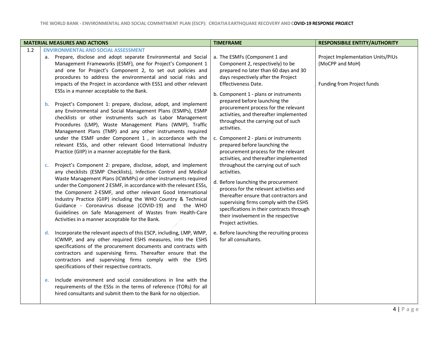| <b>MATERIAL MEASURES AND ACTIONS</b>                                                                                                                                                                                                                                                                                                                                                                                                                                                                                                                                                                                                                                                                                                                                                                                                                                                                                                                                                                                                                                                                                                                                                                                                                                                                                                                                                                                                                                                                                                                                                                                                                                                                                                                                                                                                                                                                                                                                                                                                                                                                                                                               | <b>TIMEFRAME</b>                                                                                                                                                                                                                                                                                                                                                                                                                                                                                                                                                                                                                                                                                                                                                                                                                                                                                                                                                    | <b>RESPONSIBILE ENTITY/AUTHORITY</b>                                               |
|--------------------------------------------------------------------------------------------------------------------------------------------------------------------------------------------------------------------------------------------------------------------------------------------------------------------------------------------------------------------------------------------------------------------------------------------------------------------------------------------------------------------------------------------------------------------------------------------------------------------------------------------------------------------------------------------------------------------------------------------------------------------------------------------------------------------------------------------------------------------------------------------------------------------------------------------------------------------------------------------------------------------------------------------------------------------------------------------------------------------------------------------------------------------------------------------------------------------------------------------------------------------------------------------------------------------------------------------------------------------------------------------------------------------------------------------------------------------------------------------------------------------------------------------------------------------------------------------------------------------------------------------------------------------------------------------------------------------------------------------------------------------------------------------------------------------------------------------------------------------------------------------------------------------------------------------------------------------------------------------------------------------------------------------------------------------------------------------------------------------------------------------------------------------|---------------------------------------------------------------------------------------------------------------------------------------------------------------------------------------------------------------------------------------------------------------------------------------------------------------------------------------------------------------------------------------------------------------------------------------------------------------------------------------------------------------------------------------------------------------------------------------------------------------------------------------------------------------------------------------------------------------------------------------------------------------------------------------------------------------------------------------------------------------------------------------------------------------------------------------------------------------------|------------------------------------------------------------------------------------|
| 1.2<br><b>ENVIRONMENTAL AND SOCIAL ASSESSMENT</b><br>a. Prepare, disclose and adopt separate Environmental and Social<br>Management Frameworks (ESMF), one for Project's Component 1<br>and one for Project's Component 2, to set out policies and<br>procedures to address the environmental and social risks and<br>impacts of the Project in accordance with ESS1 and other relevant<br>ESSs in a manner acceptable to the Bank.<br>Project's Component 1: prepare, disclose, adopt, and implement<br>b.<br>any Environmental and Social Management Plans (ESMPs), ESMP<br>checklists or other instruments such as Labor Management<br>Procedures (LMP), Waste Management Plans (WMP), Traffic<br>Management Plans (TMP) and any other instruments required<br>under the ESMF under Component 1, in accordance with the<br>relevant ESSs, and other relevant Good International Industry<br>Practice (GIIP) in a manner acceptable for the Bank.<br>Project's Component 2: prepare, disclose, adopt, and implement<br>$\mathbf{c}$ .<br>any checklists (ESMP Checklists), Infection Control and Medical<br>Waste Management Plans (ICWMPs) or other instruments required<br>under the Component 2 ESMF, in accordance with the relevant ESSs,<br>the Component 2-ESMF, and other relevant Good International<br>Industry Practice (GIIP) including the WHO Country & Technical<br>Guidance - Coronavirus disease (COVID-19) and the WHO<br>Guidelines on Safe Management of Wastes from Health-Care<br>Activities in a manner acceptable for the Bank.<br>Incorporate the relevant aspects of this ESCP, including, LMP, WMP,<br>d.<br>ICWMP, and any other required ESHS measures, into the ESHS<br>specifications of the procurement documents and contracts with<br>contractors and supervising firms. Thereafter ensure that the<br>contractors and supervising firms comply with the ESHS<br>specifications of their respective contracts.<br>Include environment and social considerations in line with the<br>e.<br>requirements of the ESSs in the terms of reference (TORs) for all<br>hired consultants and submit them to the Bank for no objection. | a. The ESMFs (Component 1 and<br>Component 2, respectively) to be<br>prepared no later than 60 days and 30<br>days respectively after the Project<br>Effectiveness Date.<br>b. Component 1 - plans or instruments<br>prepared before launching the<br>procurement process for the relevant<br>activities, and thereafter implemented<br>throughout the carrying out of such<br>activities.<br>c. Component 2 - plans or instruments<br>prepared before launching the<br>procurement process for the relevant<br>activities, and thereafter implemented<br>throughout the carrying out of such<br>activities.<br>d. Before launching the procurement<br>process for the relevant activities and<br>thereafter ensure that contractors and<br>supervising firms comply with the ESHS<br>specifications in their contracts through<br>their involvement in the respective<br>Project activities.<br>e. Before launching the recruiting process<br>for all consultants. | Project Implementation Units/PIUs<br>(MoCPP and MoH)<br>Funding from Project funds |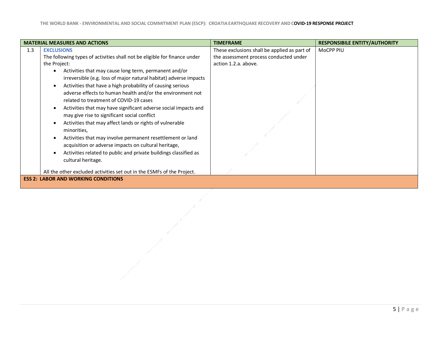|                                            | <b>MATERIAL MEASURES AND ACTIONS</b>                                                                                                                                                                                                                                                                                                                                                                                                                                                                                                                                                                                                                                                                                                                                                                    | <b>TIMEFRAME</b>                                                                                               | <b>RESPONSIBILE ENTITY/AUTHORITY</b> |
|--------------------------------------------|---------------------------------------------------------------------------------------------------------------------------------------------------------------------------------------------------------------------------------------------------------------------------------------------------------------------------------------------------------------------------------------------------------------------------------------------------------------------------------------------------------------------------------------------------------------------------------------------------------------------------------------------------------------------------------------------------------------------------------------------------------------------------------------------------------|----------------------------------------------------------------------------------------------------------------|--------------------------------------|
| 1.3                                        | <b>EXCLUSIONS</b><br>The following types of activities shall not be eligible for finance under<br>the Project:<br>Activities that may cause long term, permanent and/or<br>$\bullet$<br>irreversible (e.g. loss of major natural habitat) adverse impacts<br>Activities that have a high probability of causing serious<br>$\bullet$<br>adverse effects to human health and/or the environment not<br>related to treatment of COVID-19 cases<br>Activities that may have significant adverse social impacts and<br>$\bullet$<br>may give rise to significant social conflict<br>Activities that may affect lands or rights of vulnerable<br>$\bullet$<br>minorities,<br>Activities that may involve permanent resettlement or land<br>$\bullet$<br>acquisition or adverse impacts on cultural heritage, | These exclusions shall be applied as part of<br>the assessment process conducted under<br>action 1.2.a. above. | MoCPP PIU                            |
|                                            | Activities related to public and private buildings classified as<br>cultural heritage.<br>All the other excluded activities set out in the ESMFs of the Project.                                                                                                                                                                                                                                                                                                                                                                                                                                                                                                                                                                                                                                        |                                                                                                                |                                      |
| <b>ESS 2: LABOR AND WORKING CONDITIONS</b> |                                                                                                                                                                                                                                                                                                                                                                                                                                                                                                                                                                                                                                                                                                                                                                                                         |                                                                                                                |                                      |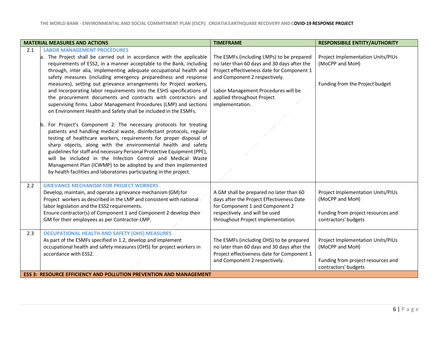|     | <b>MATERIAL MEASURES AND ACTIONS</b>                                      | <b>TIMEFRAME</b>                            | <b>RESPONSIBILE ENTITY/AUTHORITY</b>     |  |
|-----|---------------------------------------------------------------------------|---------------------------------------------|------------------------------------------|--|
| 2.1 | <b>LABOR MANAGEMENT PROCEDURES</b>                                        |                                             |                                          |  |
|     | a. The Project shall be carried out in accordance with the applicable     | The ESMFs (including LMPs) to be prepared   | <b>Project Implementation Units/PIUs</b> |  |
|     | requirements of ESS2, in a manner acceptable to the Bank, including       | no later than 60 days and 30 days after the | (MoCPP and MoH)                          |  |
|     | through, inter alia, implementing adequate occupational health and        | Project effectiveness date for Component 1  |                                          |  |
|     | safety measures (including emergency preparedness and response            | and Component 2 respectively.               |                                          |  |
|     | measures), setting out grievance arrangements for Project workers,        |                                             | Funding from the Project budget          |  |
|     | and incorporating labor requirements into the ESHS specifications of      | Labor Management Procedures will be         |                                          |  |
|     | the procurement documents and contracts with contractors and              | applied throughout Project                  |                                          |  |
|     | supervising firms. Labor Management Procedures (LMP) and sections         | implementation.                             |                                          |  |
|     | on Environment Health and Safety shall be included in the ESMFs.          |                                             |                                          |  |
|     |                                                                           |                                             |                                          |  |
|     | b. For Project's Component 2: The necessary protocols for treating        |                                             |                                          |  |
|     | patients and handling medical waste, disinfectant protocols, regular      |                                             |                                          |  |
|     | testing of healthcare workers, requirements for proper disposal of        |                                             |                                          |  |
|     | sharp objects, along with the environmental health and safety             |                                             |                                          |  |
|     | guidelines for staff and necessary Personal Protective Equipment (PPE),   |                                             |                                          |  |
|     | will be included in the Infection Control and Medical Waste               |                                             |                                          |  |
|     | Management Plan (ICWMP) to be adopted by and then implemented             |                                             |                                          |  |
|     | by health facilities and laboratories participating in the project.       |                                             |                                          |  |
|     |                                                                           |                                             |                                          |  |
| 2.2 | <b>GRIEVANCE MECHANISM FOR PROJECT WORKERS</b>                            |                                             |                                          |  |
|     | Develop, maintain, and operate a grievance mechanism (GM) for             | A GM shall be prepared no later than 60     | <b>Project Implementation Units/PIUs</b> |  |
|     | Project workers as described in the LMP and consistent with national      | days after the Project Effectiveness Date   | (MoCPP and MoH)                          |  |
|     | labor legislation and the ESS2 requirements.                              | for Component 1 and Component 2             |                                          |  |
|     | Ensure contractor(s) of Component 1 and Component 2 develop their         | respectively. and will be used              | Funding from project resources and       |  |
|     | GM for their employees as per Contractor-LMP.                             | throughout Project implementation.          | contractors' budgets                     |  |
|     |                                                                           |                                             |                                          |  |
| 2.3 | <b>OCCUPATIONAL HEALTH AND SAFETY (OHS) MEASURES</b>                      |                                             |                                          |  |
|     | As part of the ESMFs specified in 1.2, develop and implement              | The ESMFs (including OHS) to be prepared    | <b>Project Implementation Units/PIUs</b> |  |
|     | occupational health and safety measures (OHS) for project workers in      | no later than 60 days and 30 days after the | (MoCPP and MoH)                          |  |
|     | accordance with ESS2.                                                     | Project effectiveness date for Component 1  |                                          |  |
|     |                                                                           | and Component 2 respectively.               | Funding from project resources and       |  |
|     |                                                                           |                                             | contractors' budgets                     |  |
|     | <b>ESS 3: RESOURCE EFFICIENCY AND POLLUTION PREVENTION AND MANAGEMENT</b> |                                             |                                          |  |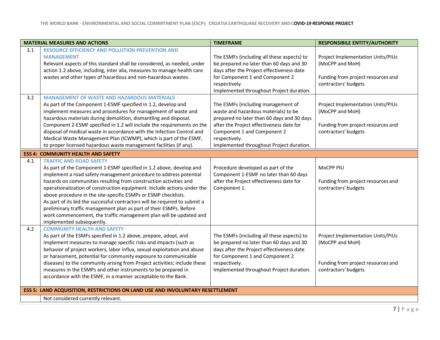|     | <b>MATERIAL MEASURES AND ACTIONS</b>                                                                                                                                                                                                                                                                                                                                                                                                                                                                                                                                                                                                                | <b>TIMEFRAME</b>                                                                                                                                                                                                                                                 | <b>RESPONSIBILE ENTITY/AUTHORITY</b>                                                                               |
|-----|-----------------------------------------------------------------------------------------------------------------------------------------------------------------------------------------------------------------------------------------------------------------------------------------------------------------------------------------------------------------------------------------------------------------------------------------------------------------------------------------------------------------------------------------------------------------------------------------------------------------------------------------------------|------------------------------------------------------------------------------------------------------------------------------------------------------------------------------------------------------------------------------------------------------------------|--------------------------------------------------------------------------------------------------------------------|
| 3.1 | <b>RESOURCE EFFICIENCY AND POLLUTION PREVENTION AND</b><br><b>MANAGEMENT</b><br>Relevant aspects of this standard shall be considered, as needed, under<br>action 1.2 above, including, inter alia, measures to manage health care<br>wastes and other types of hazardous and non-hazardous wastes.                                                                                                                                                                                                                                                                                                                                                 | The ESMFs (including all these aspects) to<br>be prepared no later than 60 days and 30<br>days after the Project effectiveness date<br>for Component 1 and Component 2<br>respectively.                                                                          | Project Implementation Units/PIUs<br>(MoCPP and MoH)<br>Funding from project resources and<br>contractors' budgets |
|     |                                                                                                                                                                                                                                                                                                                                                                                                                                                                                                                                                                                                                                                     | Implemented throughout Project duration.                                                                                                                                                                                                                         |                                                                                                                    |
| 3.2 | <b>MANAGEMENT OF WASTE AND HAZARDOUS MATERIALS</b><br>As part of the Component 1-ESMF specified in 1.2, develop and<br>implement measures and procedures for management of waste and<br>hazardous materials during demolition, dismantling and disposal.<br>Component 2-ESMF specified in 1.2 will include the requirements on the<br>disposal of medical waste in accordance with the Infection Control and<br>Medical Waste Management Plan (ICWMP), which is part of the ESMF,<br>to proper licensed hazardous waste management facilities (if any).                                                                                             | The ESMFs (including management of<br>waste and hazardous materials) to be<br>prepared no later than 60 days and 30 days<br>after the Project effectiveness date for<br>Component 1 and Component 2<br>respectively.<br>Implemented throughout Project duration. | Project Implementation Units/PIUs<br>(MoCPP and MoH)<br>Funding from project resources and<br>contractors' budgets |
|     | <b>ESS 4: COMMUNITY HEALTH AND SAFETY</b>                                                                                                                                                                                                                                                                                                                                                                                                                                                                                                                                                                                                           |                                                                                                                                                                                                                                                                  |                                                                                                                    |
| 4.1 | <b>TRAFFIC AND ROAD SAFETY</b><br>As part of the Component 1-ESMF specified in 1.2 above, develop and<br>implement a road safety management procedure to address potential<br>hazards on communities resulting from construction activities and<br>operationalization of construction equipment. Include actions under the<br>above procedure in the site-specific ESMPs or ESMP checklists.<br>As part of its bid the successful contractors will be required to submit a<br>preliminary traffic management plan as part of their ESMPs. Before<br>work commencement, the traffic management plan will be updated and<br>implemented subsequently. | Procedure developed as part of the<br>Component 1-ESMF no later than 60 days<br>after the Project effectiveness date for<br>Component 1.                                                                                                                         | MoCPP PIU<br>Funding from project resources and<br>contractors' budgets                                            |
| 4.2 | <b>COMMUNITY HEALTH AND SAFETY</b><br>As part of the ESMFs specified in 1.2 above, prepare, adopt, and<br>implement measures to manage specific risks and impacts (such as<br>behavior of project workers, labor influx, sexual exploitation and abuse<br>or harassment, potential for community exposure to communicable<br>diseases) to the community arising from Project activities; include these<br>measures in the ESMPs and other instruments to be prepared in<br>accordance with the ESMF, in a manner acceptable to the Bank.                                                                                                            | The ESMFs (including all these aspects) to<br>be prepared no later than 60 days and 30<br>days after the Project effectiveness date<br>for Component 1 and Component 2<br>respectively.<br>Implemented throughout Project duration.                              | Project Implementation Units/PIUs<br>(MoCPP and MoH)<br>Funding from project resources and<br>contractors' budgets |
|     | ESS 5: LAND ACQUISITION, RESTRICTIONS ON LAND USE AND INVOLUNTARY RESETTLEMENT                                                                                                                                                                                                                                                                                                                                                                                                                                                                                                                                                                      |                                                                                                                                                                                                                                                                  |                                                                                                                    |
|     | Not considered currently relevant.                                                                                                                                                                                                                                                                                                                                                                                                                                                                                                                                                                                                                  |                                                                                                                                                                                                                                                                  |                                                                                                                    |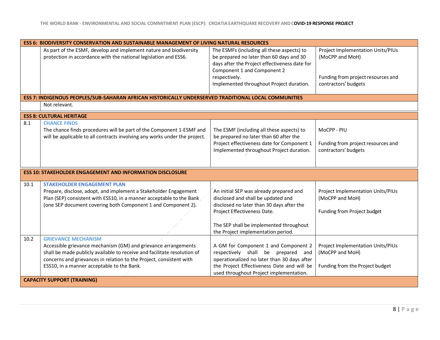|              | <b>ESS 6: BIODIVERSITY CONSERVATION AND SUSTAINABLE MANAGEMENT OF LIVING NATURAL RESOURCES</b>                                                                                                                                                                                |                                                                                                                                                                                                                                            |                                                                                                                    |  |
|--------------|-------------------------------------------------------------------------------------------------------------------------------------------------------------------------------------------------------------------------------------------------------------------------------|--------------------------------------------------------------------------------------------------------------------------------------------------------------------------------------------------------------------------------------------|--------------------------------------------------------------------------------------------------------------------|--|
|              | As part of the ESMF, develop and implement nature and biodiversity<br>protection in accordance with the national legislation and ESS6.                                                                                                                                        | The ESMFs (including all these aspects) to<br>be prepared no later than 60 days and 30<br>days after the Project effectiveness date for<br>Component 1 and Component 2<br>respectively.<br>Implemented throughout Project duration.        | Project Implementation Units/PIUs<br>(MoCPP and MoH)<br>Funding from project resources and<br>contractors' budgets |  |
|              | ESS 7: INDIGENOUS PEOPLES/SUB-SAHARAN AFRICAN HISTORICALLY UNDERSERVED TRADITIONAL LOCAL COMMUNITIES                                                                                                                                                                          |                                                                                                                                                                                                                                            |                                                                                                                    |  |
|              | Not relevant.                                                                                                                                                                                                                                                                 |                                                                                                                                                                                                                                            |                                                                                                                    |  |
|              | <b>ESS 8: CULTURAL HERITAGE</b>                                                                                                                                                                                                                                               |                                                                                                                                                                                                                                            |                                                                                                                    |  |
| 8.1          | <b>CHANCE FINDS</b><br>The chance finds procedures will be part of the Component 1-ESMF and<br>will be applicable to all contracts involving any works under the project.                                                                                                     | The ESMF (including all these aspects) to<br>be prepared no later than 60 after the<br>Project effectiveness date for Component 1<br>Implemented throughout Project duration.                                                              | MoCPP - PIU<br>Funding from project resources and<br>contractors' budgets                                          |  |
|              | <b>ESS 10: STAKEHOLDER ENGAGEMENT AND INFORMATION DISCLOSURE</b>                                                                                                                                                                                                              |                                                                                                                                                                                                                                            |                                                                                                                    |  |
| 10.1<br>10.2 | <b>STAKEHOLDER ENGAGEMENT PLAN</b><br>Prepare, disclose, adopt, and implement a Stakeholder Engagement<br>Plan (SEP) consistent with ESS10, in a manner acceptable to the Bank<br>(one SEP document covering both Component 1 and Component 2).<br><b>GRIEVANCE MECHANISM</b> | An initial SEP was already prepared and<br>disclosed and shall be updated and<br>disclosed no later than 30 days after the<br>Project Effectiveness Date.<br>The SEP shall be implemented throughout<br>the Project implementation period. | Project Implementation Units/PIUs<br>(MoCPP and MoH)<br>Funding from Project budget                                |  |
|              | Accessible grievance mechanism (GM) and grievance arrangements<br>shall be made publicly available to receive and facilitate resolution of<br>concerns and grievances in relation to the Project, consistent with<br>ESS10, in a manner acceptable to the Bank.               | A GM for Component 1 and Component 2<br>respectively shall be prepared and<br>operationalized no later than 30 days after<br>the Project Effectiveness Date and will be<br>used throughout Project implementation.                         | Project Implementation Units/PIUs<br>(MoCPP and MoH)<br>Funding from the Project budget                            |  |
|              | <b>CAPACITY SUPPORT (TRAINING)</b>                                                                                                                                                                                                                                            |                                                                                                                                                                                                                                            |                                                                                                                    |  |